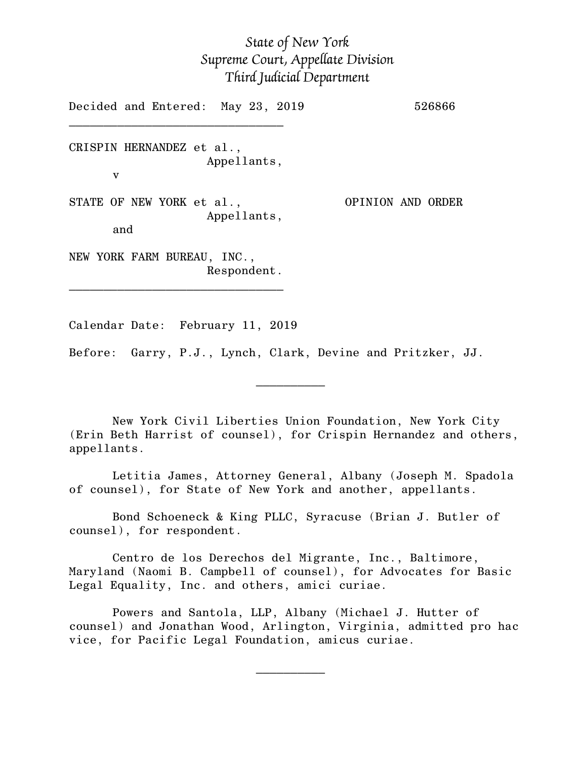## *State of New York Supreme Court, Appellate Division Third Judicial Department*

Decided and Entered: May 23, 2019 526866 \_\_\_\_\_\_\_\_\_\_\_\_\_\_\_\_\_\_\_\_\_\_\_\_\_\_\_\_\_\_\_ CRISPIN HERNANDEZ et al., Appellants, v STATE OF NEW YORK et al., OPINION AND ORDER Appellants, and NEW YORK FARM BUREAU, INC., Respondent. \_\_\_\_\_\_\_\_\_\_\_\_\_\_\_\_\_\_\_\_\_\_\_\_\_\_\_\_\_\_\_

Calendar Date: February 11, 2019

 $\mathcal{L}_\text{max}$  and  $\mathcal{L}_\text{max}$  are the set of  $\mathcal{L}_\text{max}$  . The set of  $\mathcal{L}_\text{max}$ 

 $\mathcal{L}_\text{max}$  and  $\mathcal{L}_\text{max}$  are the set of  $\mathcal{L}_\text{max}$  . The set of  $\mathcal{L}_\text{max}$ 

Before: Garry, P.J., Lynch, Clark, Devine and Pritzker, JJ.

New York Civil Liberties Union Foundation, New York City (Erin Beth Harrist of counsel), for Crispin Hernandez and others, appellants.

Letitia James, Attorney General, Albany (Joseph M. Spadola of counsel), for State of New York and another, appellants.

Bond Schoeneck & King PLLC, Syracuse (Brian J. Butler of counsel), for respondent.

Centro de los Derechos del Migrante, Inc., Baltimore, Maryland (Naomi B. Campbell of counsel), for Advocates for Basic Legal Equality, Inc. and others, amici curiae.

Powers and Santola, LLP, Albany (Michael J. Hutter of counsel) and Jonathan Wood, Arlington, Virginia, admitted pro hac vice, for Pacific Legal Foundation, amicus curiae.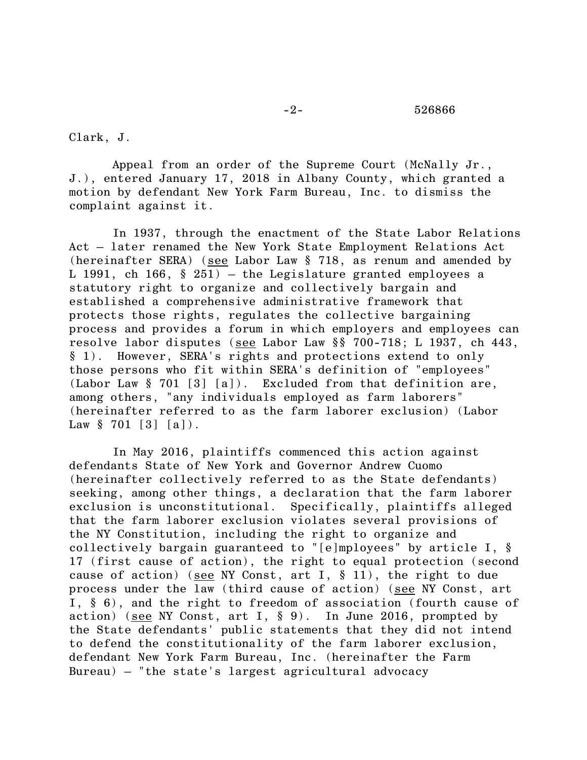## -2- 526866

Clark, J.

Appeal from an order of the Supreme Court (McNally Jr., J.), entered January 17, 2018 in Albany County, which granted a motion by defendant New York Farm Bureau, Inc. to dismiss the complaint against it.

In 1937, through the enactment of the State Labor Relations Act – later renamed the New York State Employment Relations Act (hereinafter SERA) (see Labor Law § 718, as renum and amended by L 1991, ch 166,  $\S$  251) – the Legislature granted employees a statutory right to organize and collectively bargain and established a comprehensive administrative framework that protects those rights, regulates the collective bargaining process and provides a forum in which employers and employees can resolve labor disputes (see Labor Law §§ 700-718; L 1937, ch 443, § 1). However, SERA's rights and protections extend to only those persons who fit within SERA's definition of "employees" (Labor Law § 701 [3] [a]). Excluded from that definition are, among others, "any individuals employed as farm laborers" (hereinafter referred to as the farm laborer exclusion) (Labor Law  $§ 701 [3] [a]$ .

In May 2016, plaintiffs commenced this action against defendants State of New York and Governor Andrew Cuomo (hereinafter collectively referred to as the State defendants) seeking, among other things, a declaration that the farm laborer exclusion is unconstitutional. Specifically, plaintiffs alleged that the farm laborer exclusion violates several provisions of the NY Constitution, including the right to organize and collectively bargain guaranteed to "[e]mployees" by article I, § 17 (first cause of action), the right to equal protection (second cause of action) (see NY Const, art I,  $\S$  11), the right to due process under the law (third cause of action) (see NY Const, art I, § 6), and the right to freedom of association (fourth cause of action) (see NY Const, art I,  $\S$  9). In June 2016, prompted by the State defendants' public statements that they did not intend to defend the constitutionality of the farm laborer exclusion, defendant New York Farm Bureau, Inc. (hereinafter the Farm Bureau) – "the state's largest agricultural advocacy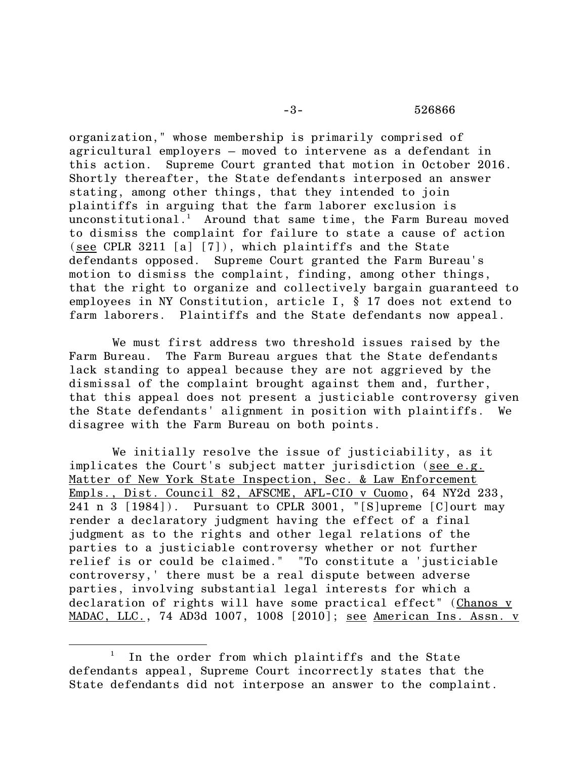## -3- 526866

organization," whose membership is primarily comprised of agricultural employers – moved to intervene as a defendant in this action. Supreme Court granted that motion in October 2016. Shortly thereafter, the State defendants interposed an answer stating, among other things, that they intended to join plaintiffs in arguing that the farm laborer exclusion is unconstitutional.<sup>1</sup> Around that same time, the Farm Bureau moved to dismiss the complaint for failure to state a cause of action (see CPLR 3211 [a] [7]), which plaintiffs and the State defendants opposed. Supreme Court granted the Farm Bureau's motion to dismiss the complaint, finding, among other things, that the right to organize and collectively bargain guaranteed to employees in NY Constitution, article I, § 17 does not extend to farm laborers. Plaintiffs and the State defendants now appeal.

We must first address two threshold issues raised by the Farm Bureau. The Farm Bureau argues that the State defendants lack standing to appeal because they are not aggrieved by the dismissal of the complaint brought against them and, further, that this appeal does not present a justiciable controversy given the State defendants' alignment in position with plaintiffs. We disagree with the Farm Bureau on both points.

We initially resolve the issue of justiciability, as it implicates the Court's subject matter jurisdiction (see e.g. Matter of New York State Inspection, Sec. & Law Enforcement Empls., Dist. Council 82, AFSCME, AFL-CIO v Cuomo, 64 NY2d 233, 241 n 3 [1984]). Pursuant to CPLR 3001, "[S]upreme [C]ourt may render a declaratory judgment having the effect of a final judgment as to the rights and other legal relations of the parties to a justiciable controversy whether or not further relief is or could be claimed." "To constitute a 'justiciable controversy,' there must be a real dispute between adverse parties, involving substantial legal interests for which a declaration of rights will have some practical effect" (Chanos v MADAC, LLC., 74 AD3d 1007, 1008 [2010]; see American Ins. Assn. v

 $\overline{\phantom{a}}$ 

<sup>&</sup>lt;sup>1</sup> In the order from which plaintiffs and the State defendants appeal, Supreme Court incorrectly states that the State defendants did not interpose an answer to the complaint.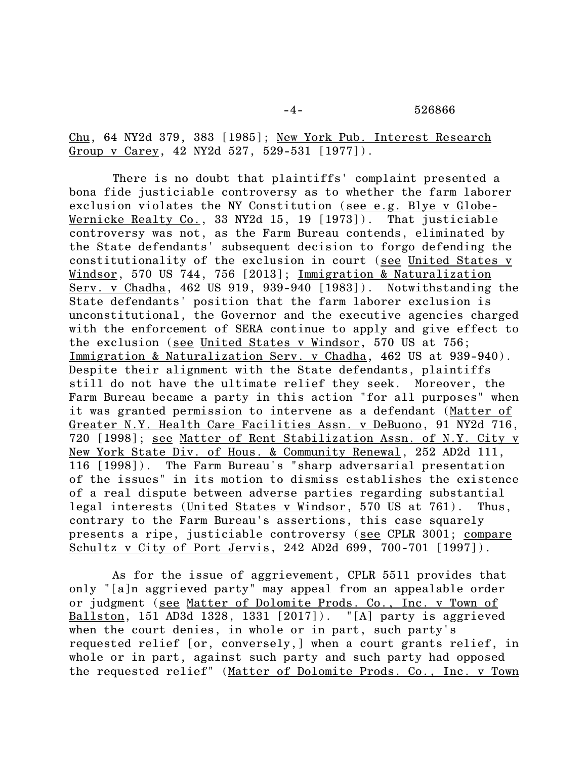Chu, 64 NY2d 379, 383 [1985]; New York Pub. Interest Research Group v Carey, 42 NY2d 527, 529-531 [1977]).

There is no doubt that plaintiffs' complaint presented a bona fide justiciable controversy as to whether the farm laborer exclusion violates the NY Constitution (see e.g. Blye v Globe-Wernicke Realty Co., 33 NY2d 15, 19 [1973]). That justiciable controversy was not, as the Farm Bureau contends, eliminated by the State defendants' subsequent decision to forgo defending the constitutionality of the exclusion in court (see United States v Windsor, 570 US 744, 756 [2013]; Immigration & Naturalization Serv. v Chadha, 462 US 919, 939-940 [1983]). Notwithstanding the State defendants' position that the farm laborer exclusion is unconstitutional, the Governor and the executive agencies charged with the enforcement of SERA continue to apply and give effect to the exclusion (see United States v Windsor, 570 US at 756; Immigration & Naturalization Serv. v Chadha, 462 US at 939-940). Despite their alignment with the State defendants, plaintiffs still do not have the ultimate relief they seek. Moreover, the Farm Bureau became a party in this action "for all purposes" when it was granted permission to intervene as a defendant (Matter of Greater N.Y. Health Care Facilities Assn. v DeBuono, 91 NY2d 716, 720 [1998]; see Matter of Rent Stabilization Assn. of N.Y. City v New York State Div. of Hous. & Community Renewal, 252 AD2d 111, 116 [1998]). The Farm Bureau's "sharp adversarial presentation of the issues" in its motion to dismiss establishes the existence of a real dispute between adverse parties regarding substantial legal interests (United States v Windsor, 570 US at 761). Thus, contrary to the Farm Bureau's assertions, this case squarely presents a ripe, justiciable controversy (see CPLR 3001; compare Schultz v City of Port Jervis, 242 AD2d 699, 700-701 [1997]).

As for the issue of aggrievement, CPLR 5511 provides that only "[a]n aggrieved party" may appeal from an appealable order or judgment (see Matter of Dolomite Prods. Co., Inc. v Town of Ballston, 151 AD3d 1328, 1331 [2017]). "[A] party is aggrieved when the court denies, in whole or in part, such party's requested relief [or, conversely,] when a court grants relief, in whole or in part, against such party and such party had opposed the requested relief" (Matter of Dolomite Prods. Co., Inc. v Town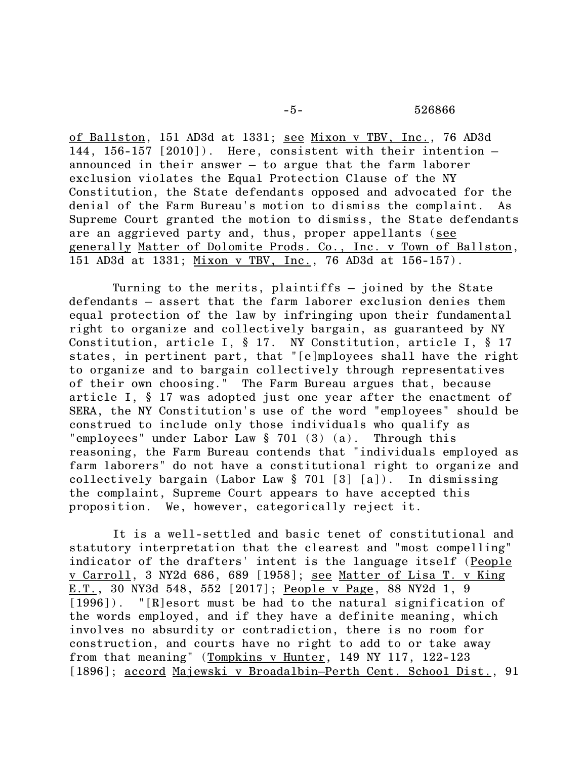of Ballston, 151 AD3d at 1331; see Mixon v TBV, Inc., 76 AD3d 144, 156-157 [2010]). Here, consistent with their intention – announced in their answer – to argue that the farm laborer exclusion violates the Equal Protection Clause of the NY Constitution, the State defendants opposed and advocated for the denial of the Farm Bureau's motion to dismiss the complaint. As Supreme Court granted the motion to dismiss, the State defendants are an aggrieved party and, thus, proper appellants (see generally Matter of Dolomite Prods. Co., Inc. v Town of Ballston, 151 AD3d at 1331; Mixon v TBV, Inc., 76 AD3d at 156-157).

Turning to the merits, plaintiffs – joined by the State defendants – assert that the farm laborer exclusion denies them equal protection of the law by infringing upon their fundamental right to organize and collectively bargain, as guaranteed by NY Constitution, article I, § 17. NY Constitution, article I, § 17 states, in pertinent part, that "[e]mployees shall have the right to organize and to bargain collectively through representatives of their own choosing." The Farm Bureau argues that, because article I, § 17 was adopted just one year after the enactment of SERA, the NY Constitution's use of the word "employees" should be construed to include only those individuals who qualify as "employees" under Labor Law § 701 (3) (a). Through this reasoning, the Farm Bureau contends that "individuals employed as farm laborers" do not have a constitutional right to organize and collectively bargain (Labor Law § 701 [3] [a]). In dismissing the complaint, Supreme Court appears to have accepted this proposition. We, however, categorically reject it.

It is a well-settled and basic tenet of constitutional and statutory interpretation that the clearest and "most compelling" indicator of the drafters' intent is the language itself (People v Carroll, 3 NY2d 686, 689 [1958]; see Matter of Lisa T. v King E.T., 30 NY3d 548, 552 [2017]; People v Page, 88 NY2d 1, 9 [1996]). "[R]esort must be had to the natural signification of the words employed, and if they have a definite meaning, which involves no absurdity or contradiction, there is no room for construction, and courts have no right to add to or take away from that meaning" (Tompkins v Hunter, 149 NY 117, 122-123 [1896]; accord Majewski v Broadalbin–Perth Cent. School Dist., 91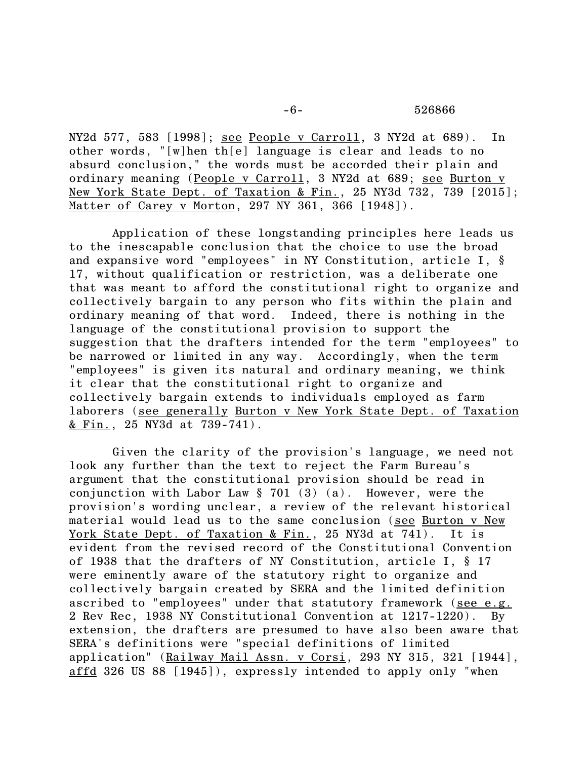NY2d 577, 583 [1998]; see People v Carroll, 3 NY2d at 689). In other words, "[w]hen th[e] language is clear and leads to no absurd conclusion," the words must be accorded their plain and ordinary meaning (People v Carroll, 3 NY2d at 689; see Burton v New York State Dept. of Taxation & Fin., 25 NY3d 732, 739 [2015]; Matter of Carey v Morton, 297 NY 361, 366 [1948]).

Application of these longstanding principles here leads us to the inescapable conclusion that the choice to use the broad and expansive word "employees" in NY Constitution, article I, § 17, without qualification or restriction, was a deliberate one that was meant to afford the constitutional right to organize and collectively bargain to any person who fits within the plain and ordinary meaning of that word. Indeed, there is nothing in the language of the constitutional provision to support the suggestion that the drafters intended for the term "employees" to be narrowed or limited in any way. Accordingly, when the term "employees" is given its natural and ordinary meaning, we think it clear that the constitutional right to organize and collectively bargain extends to individuals employed as farm laborers (see generally Burton v New York State Dept. of Taxation <u>& Fin.,</u> 25 NY3d at 739-741).

Given the clarity of the provision's language, we need not look any further than the text to reject the Farm Bureau's argument that the constitutional provision should be read in conjunction with Labor Law § 701 (3) (a). However, were the provision's wording unclear, a review of the relevant historical material would lead us to the same conclusion (see Burton v New York State Dept. of Taxation & Fin., 25 NY3d at 741). It is evident from the revised record of the Constitutional Convention of 1938 that the drafters of NY Constitution, article I, § 17 were eminently aware of the statutory right to organize and collectively bargain created by SERA and the limited definition ascribed to "employees" under that statutory framework (see e.g. 2 Rev Rec, 1938 NY Constitutional Convention at 1217-1220). By extension, the drafters are presumed to have also been aware that SERA's definitions were "special definitions of limited application" (Railway Mail Assn. v Corsi, 293 NY 315, 321 [1944], affd 326 US 88 [1945]), expressly intended to apply only "when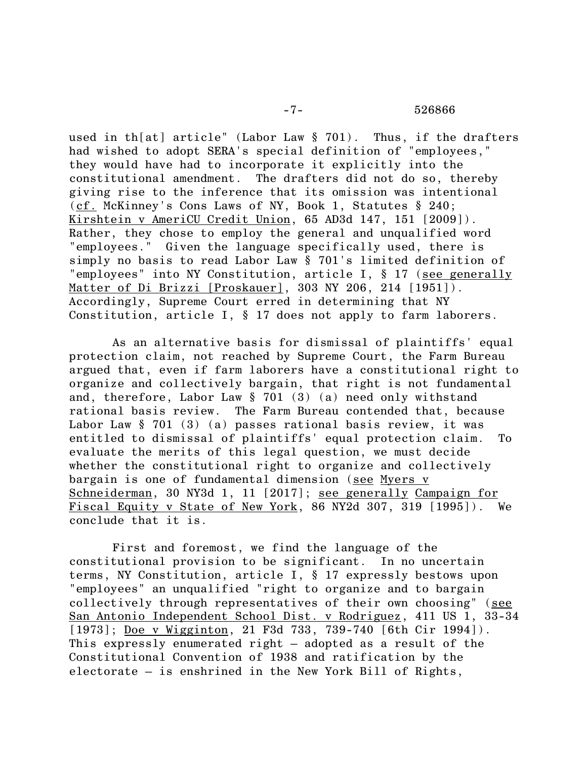## -7- 526866

used in th[at] article" (Labor Law § 701). Thus, if the drafters had wished to adopt SERA's special definition of "employees," they would have had to incorporate it explicitly into the constitutional amendment. The drafters did not do so, thereby giving rise to the inference that its omission was intentional (cf. McKinney's Cons Laws of NY, Book 1, Statutes § 240; Kirshtein v AmeriCU Credit Union, 65 AD3d 147, 151 [2009]). Rather, they chose to employ the general and unqualified word "employees." Given the language specifically used, there is simply no basis to read Labor Law § 701's limited definition of "employees" into NY Constitution, article I, § 17 (see generally Matter of Di Brizzi [Proskauer], 303 NY 206, 214 [1951]). Accordingly, Supreme Court erred in determining that NY Constitution, article I, § 17 does not apply to farm laborers.

As an alternative basis for dismissal of plaintiffs' equal protection claim, not reached by Supreme Court, the Farm Bureau argued that, even if farm laborers have a constitutional right to organize and collectively bargain, that right is not fundamental and, therefore, Labor Law § 701 (3) (a) need only withstand rational basis review. The Farm Bureau contended that, because Labor Law § 701 (3) (a) passes rational basis review, it was entitled to dismissal of plaintiffs' equal protection claim. To evaluate the merits of this legal question, we must decide whether the constitutional right to organize and collectively bargain is one of fundamental dimension (see Myers v Schneiderman, 30 NY3d 1, 11 [2017]; see generally Campaign for Fiscal Equity v State of New York, 86 NY2d 307, 319 [1995]). We conclude that it is.

First and foremost, we find the language of the constitutional provision to be significant. In no uncertain terms, NY Constitution, article I, § 17 expressly bestows upon "employees" an unqualified "right to organize and to bargain collectively through representatives of their own choosing" (see San Antonio Independent School Dist. v Rodriguez, 411 US 1, 33-34 [1973]; Doe v Wigginton, 21 F3d 733, 739-740 [6th Cir 1994]). This expressly enumerated right – adopted as a result of the Constitutional Convention of 1938 and ratification by the electorate – is enshrined in the New York Bill of Rights,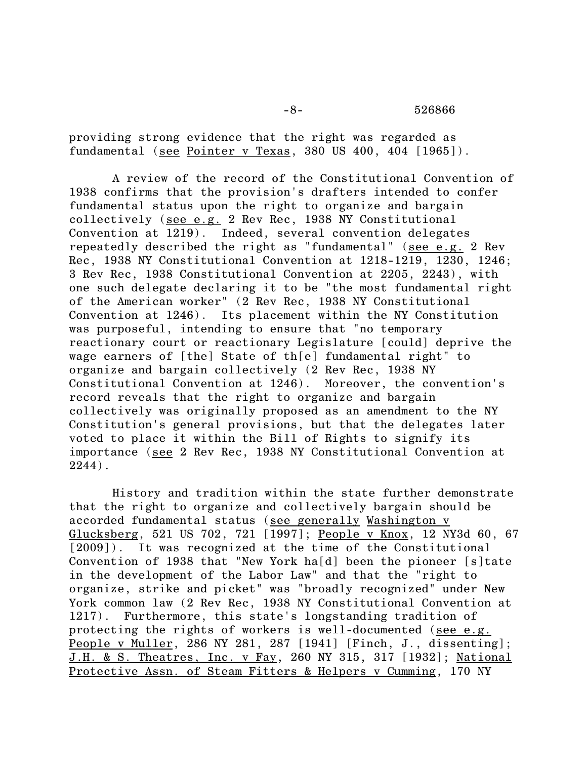-8- 526866

providing strong evidence that the right was regarded as fundamental (see Pointer v Texas, 380 US 400, 404 [1965]).

A review of the record of the Constitutional Convention of 1938 confirms that the provision's drafters intended to confer fundamental status upon the right to organize and bargain collectively (see e.g. 2 Rev Rec, 1938 NY Constitutional Convention at 1219). Indeed, several convention delegates repeatedly described the right as "fundamental" (see e.g. 2 Rev Rec, 1938 NY Constitutional Convention at 1218-1219, 1230, 1246; 3 Rev Rec, 1938 Constitutional Convention at 2205, 2243), with one such delegate declaring it to be "the most fundamental right of the American worker" (2 Rev Rec, 1938 NY Constitutional Convention at 1246). Its placement within the NY Constitution was purposeful, intending to ensure that "no temporary reactionary court or reactionary Legislature [could] deprive the wage earners of [the] State of th[e] fundamental right" to organize and bargain collectively (2 Rev Rec, 1938 NY Constitutional Convention at 1246). Moreover, the convention's record reveals that the right to organize and bargain collectively was originally proposed as an amendment to the NY Constitution's general provisions, but that the delegates later voted to place it within the Bill of Rights to signify its importance (see 2 Rev Rec, 1938 NY Constitutional Convention at 2244).

History and tradition within the state further demonstrate that the right to organize and collectively bargain should be accorded fundamental status (see generally Washington v Glucksberg, 521 US 702, 721 [1997]; People v Knox, 12 NY3d 60, 67 [2009]). It was recognized at the time of the Constitutional Convention of 1938 that "New York ha[d] been the pioneer [s]tate in the development of the Labor Law" and that the "right to organize, strike and picket" was "broadly recognized" under New York common law (2 Rev Rec, 1938 NY Constitutional Convention at 1217). Furthermore, this state's longstanding tradition of protecting the rights of workers is well-documented (see e.g. People v Muller, 286 NY 281, 287 [1941] [Finch, J., dissenting]; J.H. & S. Theatres, Inc. v Fay, 260 NY 315, 317 [1932]; National Protective Assn. of Steam Fitters & Helpers v Cumming, 170 NY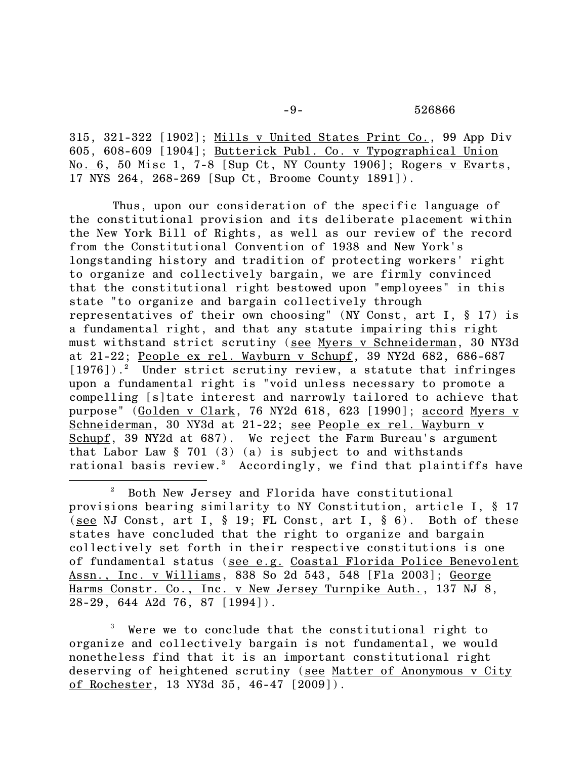315, 321-322 [1902]; Mills v United States Print Co., 99 App Div 605, 608-609 [1904]; Butterick Publ. Co. v Typographical Union No. 6, 50 Misc 1, 7-8 [Sup Ct, NY County 1906]; Rogers v Evarts, 17 NYS 264, 268-269 [Sup Ct, Broome County 1891]).

Thus, upon our consideration of the specific language of the constitutional provision and its deliberate placement within the New York Bill of Rights, as well as our review of the record from the Constitutional Convention of 1938 and New York's longstanding history and tradition of protecting workers' right to organize and collectively bargain, we are firmly convinced that the constitutional right bestowed upon "employees" in this state "to organize and bargain collectively through representatives of their own choosing" (NY Const, art I, § 17) is a fundamental right, and that any statute impairing this right must withstand strict scrutiny (see Myers v Schneiderman, 30 NY3d at 21-22; People ex rel. Wayburn v Schupf, 39 NY2d 682, 686-687 [1976]).<sup>2</sup> Under strict scrutiny review, a statute that infringes upon a fundamental right is "void unless necessary to promote a compelling [s]tate interest and narrowly tailored to achieve that purpose" (Golden v Clark, 76 NY2d 618, 623 [1990]; accord Myers v Schneiderman, 30 NY3d at 21-22; see People ex rel. Wayburn v Schupf, 39 NY2d at 687). We reject the Farm Bureau's argument that Labor Law  $\S$  701 (3) (a) is subject to and withstands rational basis review.<sup>3</sup> Accordingly, we find that plaintiffs have

l

<sup>3</sup> Were we to conclude that the constitutional right to organize and collectively bargain is not fundamental, we would nonetheless find that it is an important constitutional right deserving of heightened scrutiny (see Matter of Anonymous v City of Rochester, 13 NY3d 35, 46-47 [2009]).

<sup>2</sup> Both New Jersey and Florida have constitutional provisions bearing similarity to NY Constitution, article I, § 17 (see NJ Const, art I,  $\S$  19; FL Const, art I,  $\S$  6). Both of these states have concluded that the right to organize and bargain collectively set forth in their respective constitutions is one of fundamental status (see e.g. Coastal Florida Police Benevolent Assn., Inc. v Williams, 838 So 2d 543, 548 [Fla 2003]; George Harms Constr. Co., Inc. v New Jersey Turnpike Auth., 137 NJ 8, 28-29, 644 A2d 76, 87 [1994]).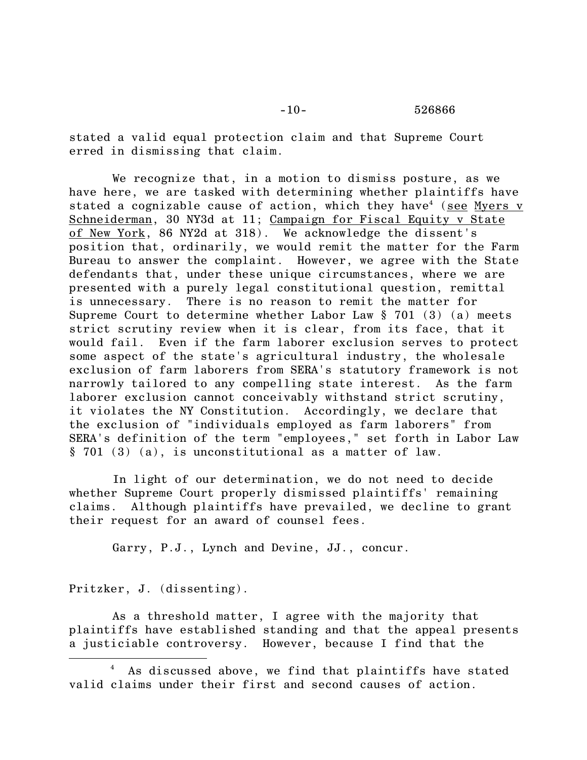stated a valid equal protection claim and that Supreme Court erred in dismissing that claim.

We recognize that, in a motion to dismiss posture, as we have here, we are tasked with determining whether plaintiffs have stated a cognizable cause of action, which they have<sup>4</sup> (see Myers v Schneiderman, 30 NY3d at 11; Campaign for Fiscal Equity v State of New York, 86 NY2d at 318). We acknowledge the dissent's position that, ordinarily, we would remit the matter for the Farm Bureau to answer the complaint. However, we agree with the State defendants that, under these unique circumstances, where we are presented with a purely legal constitutional question, remittal is unnecessary. There is no reason to remit the matter for Supreme Court to determine whether Labor Law § 701 (3) (a) meets strict scrutiny review when it is clear, from its face, that it would fail. Even if the farm laborer exclusion serves to protect some aspect of the state's agricultural industry, the wholesale exclusion of farm laborers from SERA's statutory framework is not narrowly tailored to any compelling state interest. As the farm laborer exclusion cannot conceivably withstand strict scrutiny, it violates the NY Constitution. Accordingly, we declare that the exclusion of "individuals employed as farm laborers" from SERA's definition of the term "employees," set forth in Labor Law § 701 (3) (a), is unconstitutional as a matter of law.

In light of our determination, we do not need to decide whether Supreme Court properly dismissed plaintiffs' remaining claims. Although plaintiffs have prevailed, we decline to grant their request for an award of counsel fees.

Garry, P.J., Lynch and Devine, JJ., concur.

Pritzker, J. (dissenting).

 $\overline{\phantom{a}}$ 

As a threshold matter, I agree with the majority that plaintiffs have established standing and that the appeal presents a justiciable controversy. However, because I find that the

As discussed above, we find that plaintiffs have stated valid claims under their first and second causes of action.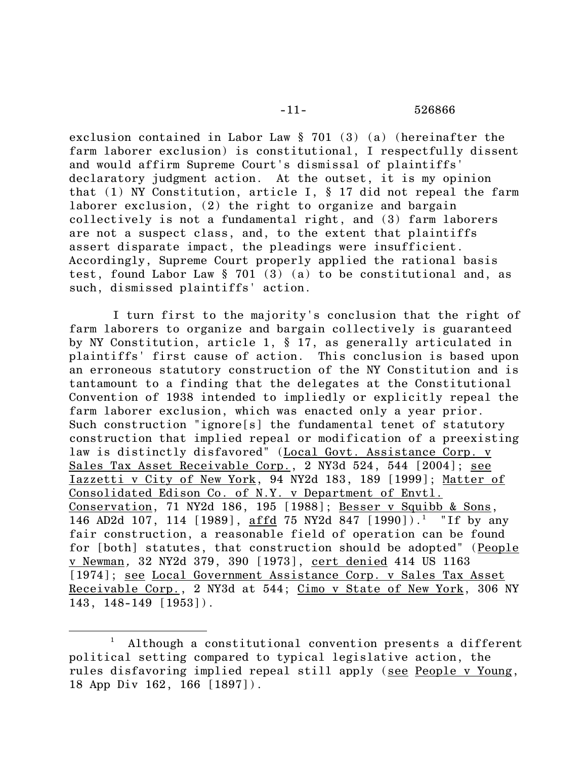exclusion contained in Labor Law § 701 (3) (a) (hereinafter the farm laborer exclusion) is constitutional, I respectfully dissent and would affirm Supreme Court's dismissal of plaintiffs' declaratory judgment action. At the outset, it is my opinion that (1) NY Constitution, article I, § 17 did not repeal the farm laborer exclusion, (2) the right to organize and bargain collectively is not a fundamental right, and (3) farm laborers are not a suspect class, and, to the extent that plaintiffs assert disparate impact, the pleadings were insufficient. Accordingly, Supreme Court properly applied the rational basis test, found Labor Law § 701 (3) (a) to be constitutional and, as such, dismissed plaintiffs' action.

I turn first to the majority's conclusion that the right of farm laborers to organize and bargain collectively is guaranteed by NY Constitution, article 1, § 17, as generally articulated in plaintiffs' first cause of action. This conclusion is based upon an erroneous statutory construction of the NY Constitution and is tantamount to a finding that the delegates at the Constitutional Convention of 1938 intended to impliedly or explicitly repeal the farm laborer exclusion, which was enacted only a year prior. Such construction "ignore[s] the fundamental tenet of statutory construction that implied repeal or modification of a preexisting law is distinctly disfavored" (Local Govt. Assistance Corp. v Sales Tax Asset Receivable Corp., 2 NY3d 524, 544 [2004]; see Iazzetti v City of New York, 94 NY2d 183, 189 [1999]; Matter of Consolidated Edison Co. of N.Y. v Department of Envtl. Conservation, 71 NY2d 186, 195 [1988]; Besser v Squibb & Sons, 146 AD2d 107, 114 [1989], affd 75 NY2d 847 [1990]).<sup>1</sup> "If by any fair construction, a reasonable field of operation can be found for [both] statutes, that construction should be adopted" (People v Newman, 32 NY2d 379, 390 [1973], cert denied 414 US 1163 [1974]; see Local Government Assistance Corp. v Sales Tax Asset Receivable Corp., 2 NY3d at 544; Cimo v State [of New York, 306 NY](https://1.next.westlaw.com/Link/Document/FullText?findType=Y&serNum=1954101270&pubNum=578&originatingDoc=I140dec62dbe911d98ac8f235252e36df&refType=RP&originationContext=document&transitionType=DocumentItem&contextData=(sc.Search))  [143, 148-149 \[1953\]\).](https://1.next.westlaw.com/Link/Document/FullText?findType=Y&serNum=1954101270&pubNum=578&originatingDoc=I140dec62dbe911d98ac8f235252e36df&refType=RP&originationContext=document&transitionType=DocumentItem&contextData=(sc.Search))

 $\overline{\phantom{a}}$ 

 $1$  Although a constitutional convention presents a different political setting compared to typical legislative action, the rules disfavoring implied repeal still apply (see People v Young, 18 App Div 162, 166 [1897]).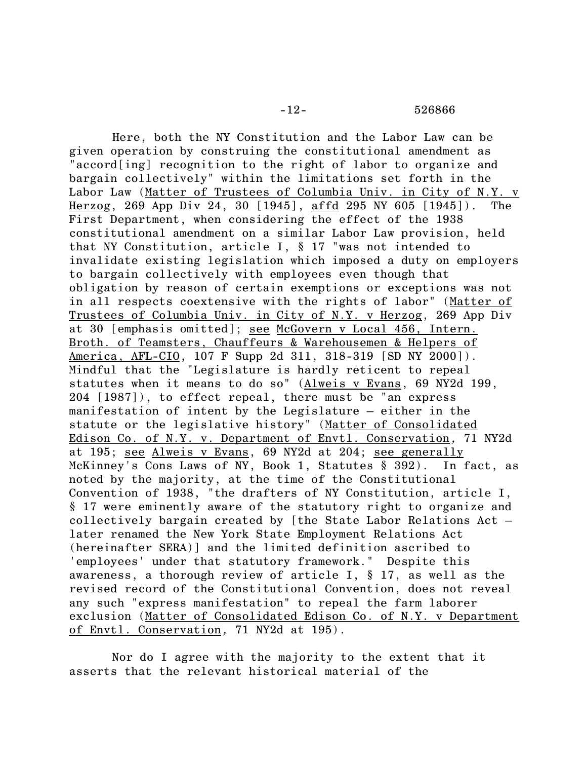Here, both the NY Constitution and the Labor Law can be given operation by construing the constitutional amendment as "accord[ing] recognition to the right of labor to organize and bargain collectively" within the limitations set forth in the Labor Law (Matter of Trustees of Columbia Univ. in City of N.Y. v Herzog, 269 App Div 24, 30 [1945], affd 295 NY 605 [1945]). The First Department, when considering the effect of the 1938 constitutional amendment on a similar Labor Law provision, held that NY Constitution, article I, § 17 "was not intended to invalidate existing legislation which imposed a duty on employers to bargain collectively with employees even though that obligation by reason of certain exemptions or exceptions was not in all respects coextensive with the rights of labor" (Matter of Trustees of Columbia Univ. in City of N.Y. v Herzog, 269 App Div at 30 [emphasis omitted]; see McGovern v Local 456, Intern. Broth. of Teamsters, Chauffeurs & Warehousemen & Helpers of America, AFL-CIO, 107 F Supp 2d 311, 318-319 [SD NY 2000]). Mindful that the "Legislature is hardly reticent to repeal statutes when it means to do so" [\(Alweis v Evans,](https://1.next.westlaw.com/Link/Document/FullText?findType=Y&serNum=1987025772&pubNum=578&originatingDoc=Idf3be587da0011d9bf60c1d57ebc853e&refType=RP&originationContext=document&transitionType=DocumentItem&contextData=(sc.Search)) 69 NY2d 199, [204 \[1987\]\),](https://1.next.westlaw.com/Link/Document/FullText?findType=Y&serNum=1987025772&pubNum=578&originatingDoc=Idf3be587da0011d9bf60c1d57ebc853e&refType=RP&originationContext=document&transitionType=DocumentItem&contextData=(sc.Search)) to effect repeal, there must be "an express manifestation of intent by the Legislature  $-$  either in the statute or the legislative history" (Matter of Consolidated Edison Co. of N.Y. v. Department of Envtl. Conservation, 71 NY2d at 195; see Alweis v Evans, 69 NY2d at 204; see generally McKinney's Cons Laws of NY, Book 1, Statutes § 392). In fact, as noted by the majority, at the time of the Constitutional Convention of 1938, "the drafters of NY Constitution, article I, § 17 were eminently aware of the statutory right to organize and collectively bargain created by [the State Labor Relations Act – later renamed the New York State Employment Relations Act (hereinafter SERA)] and the limited definition ascribed to 'employees' under that statutory framework." Despite this awareness, a thorough review of article I, § 17, as well as the revised record of the Constitutional Convention, does not reveal any such "express manifestation" to repeal the farm laborer exclusion (Matter of Consolidated Edison Co. of N.Y. v Department of Envtl. Conservation, 71 NY2d at 195).

Nor do I agree with the majority to the extent that it asserts that the relevant historical material of the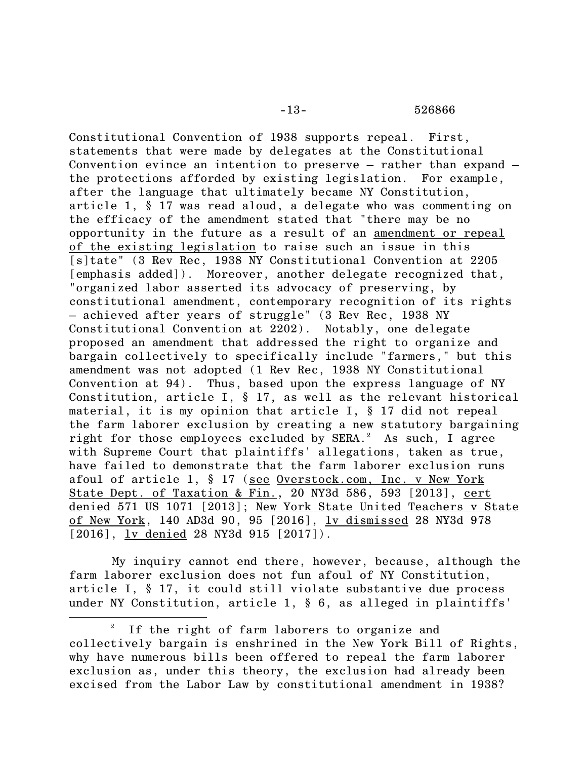Constitutional Convention of 1938 supports repeal. First, statements that were made by delegates at the Constitutional Convention evince an intention to preserve – rather than expand – the protections afforded by existing legislation. For example, after the language that ultimately became NY Constitution, article 1, § 17 was read aloud, a delegate who was commenting on the efficacy of the amendment stated that "there may be no opportunity in the future as a result of an amendment or repeal of the existing legislation to raise such an issue in this [s]tate" (3 Rev Rec, 1938 NY Constitutional Convention at 2205 [emphasis added]). Moreover, another delegate recognized that, "organized labor asserted its advocacy of preserving, by constitutional amendment, contemporary recognition of its rights – achieved after years of struggle" (3 Rev Rec, 1938 NY Constitutional Convention at 2202). Notably, one delegate proposed an amendment that addressed the right to organize and bargain collectively to specifically include "farmers," but this amendment was not adopted (1 Rev Rec, 1938 NY Constitutional Convention at 94). Thus, based upon the express language of NY Constitution, article I, § 17, as well as the relevant historical material, it is my opinion that article I, § 17 did not repeal the farm laborer exclusion by creating a new statutory bargaining right for those employees excluded by SERA. $^2$  As such, I agree with Supreme Court that plaintiffs' allegations, taken as true, have failed to demonstrate that the farm laborer exclusion runs afoul of article 1, § 17 (see Overstock.com, Inc. v New York State Dept. of Taxation & Fin., 20 NY3d 586, 593 [2013], cert denied 571 US 1071 [2013]; New York State United Teachers v State of New York, 140 AD3d 90, 95 [2016], lv dismissed 28 NY3d 978 [2016], lv denied 28 NY3d 915 [2017]).

My inquiry cannot end there, however, because, although the farm laborer exclusion does not fun afoul of NY Constitution, article I, § 17, it could still violate substantive due process under NY Constitution, article 1, § 6, as alleged in plaintiffs'

 $\overline{\phantom{a}}$ 

 $2$  If the right of farm laborers to organize and collectively bargain is enshrined in the New York Bill of Rights, why have numerous bills been offered to repeal the farm laborer exclusion as, under this theory, the exclusion had already been excised from the Labor Law by constitutional amendment in 1938?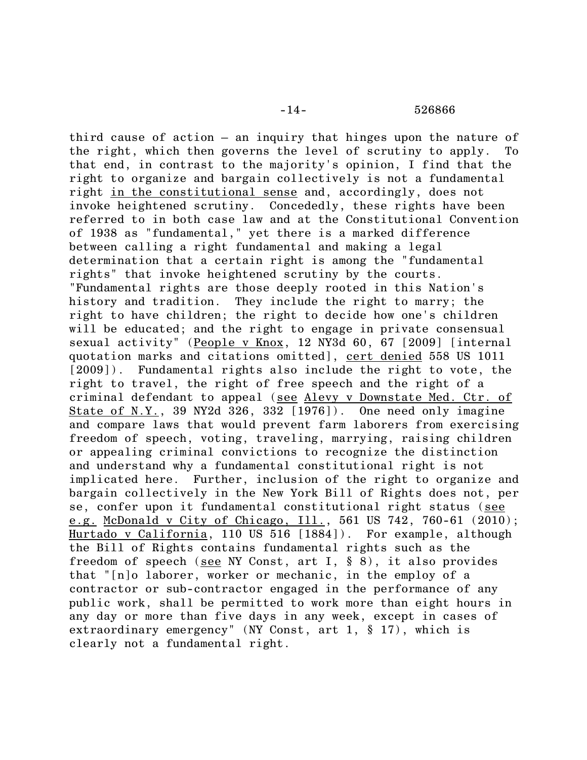third cause of action – an inquiry that hinges upon the nature of the right, which then governs the level of scrutiny to apply. To that end, in contrast to the majority's opinion, I find that the right to organize and bargain collectively is not a fundamental right in the constitutional sense and, accordingly, does not invoke heightened scrutiny. Concededly, these rights have been referred to in both case law and at the Constitutional Convention of 1938 as "fundamental," yet there is a marked difference between calling a right fundamental and making a legal determination that a certain right is among the "fundamental rights" that invoke heightened scrutiny by the courts. "Fundamental rights are those deeply rooted in this Nation's history and tradition. They include the right to marry; the right to have children; the right to decide how one's children will be educated; and the right to engage in private consensual sexual activity" (People v Knox, 12 NY3d 60, 67 [2009] [internal quotation marks and citations omitted], cert denied 558 US 1011 [2009]). Fundamental rights also include the right to vote, the right to travel, the right of free speech and the right of a criminal defendant to appeal (see Alevy v Downstate Med. Ctr. of State of N.Y., 39 NY2d 326, 332 [1976]). One need only imagine and compare laws that would prevent farm laborers from exercising freedom of speech, voting, traveling, marrying, raising children or appealing criminal convictions to recognize the distinction and understand why a fundamental constitutional right is not implicated here. Further, inclusion of the right to organize and bargain collectively in the New York Bill of Rights does not, per se, confer upon it fundamental constitutional right status (see e.g. McDonald v City of Chicago, Ill., 561 US 742, 760-61 (2010); Hurtado v California, 110 US 516 [1884]). For example, although the Bill of Rights contains fundamental rights such as the freedom of speech (see NY Const, art I, § 8), it also provides that "[n]o laborer, worker or mechanic, in the employ of a contractor or sub-contractor engaged in the performance of any public work, shall be permitted to work more than eight hours in any day or more than five days in any week, except in cases of extraordinary emergency" (NY Const, art 1, § 17), which is clearly not a fundamental right.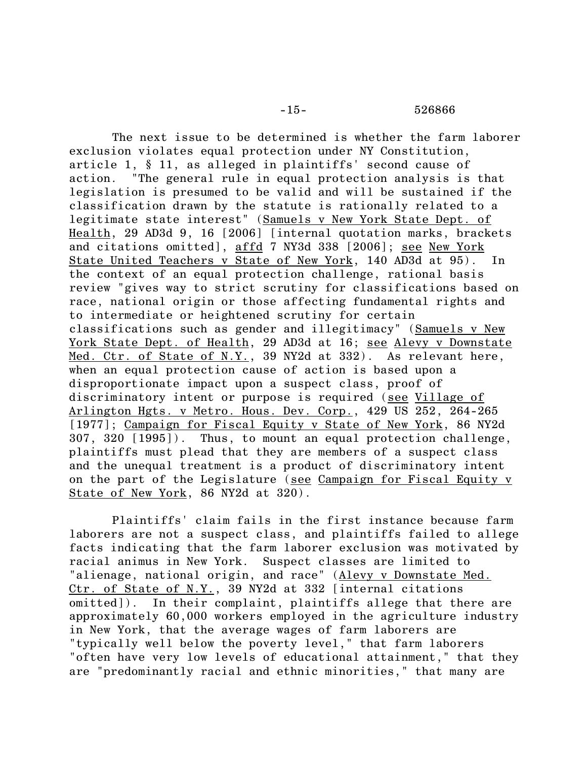The next issue to be determined is whether the farm laborer exclusion violates equal protection under NY Constitution, article 1, § 11, as alleged in plaintiffs' second cause of action. "The general rule in equal protection analysis is that legislation is presumed to be valid and will be sustained if the classification drawn by the statute is rationally related to a legitimate state interest" (Samuels v New York State Dept. of Health, 29 AD3d 9, 16 [2006] [internal quotation marks, brackets and citations omitted], affd 7 NY3d 338 [2006]; see New York State United Teachers v State of New York, 140 AD3d at 95). In the context of an equal protection challenge, rational basis review "gives way to strict scrutiny for classifications based on race, national origin or those affecting fundamental rights and to intermediate or heightened scrutiny for certain classifications such as gender and illegitimacy" (Samuels v New York State Dept. of Health, 29 AD3d at 16; see Alevy v Downstate Med. Ctr. of State of N. $Y_-.$ , 39 NY2d at 332). As relevant here, when an equal protection cause of action is based upon a disproportionate impact upon a suspect class, proof of discriminatory intent or purpose is required (see Village of Arlington Hgts. v Metro. Hous. Dev. Corp., 429 US 252, 264-265 [1977]; Campaign for Fiscal Equity v State of New York, 86 NY2d 307, 320 [1995]). Thus, to mount an equal protection challenge, plaintiffs must plead that they are members of a suspect class and the unequal treatment is a product of discriminatory intent on the part of the Legislature (see Campaign for Fiscal Equity v State of New York, 86 NY2d at 320).

Plaintiffs' claim fails in the first instance because farm laborers are not a suspect class, and plaintiffs failed to allege facts indicating that the farm laborer exclusion was motivated by racial animus in New York. Suspect classes are limited to "alienage, national origin, and race" (Alevy v Downstate Med. Ctr. of State of N.Y., 39 NY2d at 332 [internal citations omitted]). In their complaint, plaintiffs allege that there are approximately 60,000 workers employed in the agriculture industry in New York, that the average wages of farm laborers are "typically well below the poverty level," that farm laborers "often have very low levels of educational attainment," that they are "predominantly racial and ethnic minorities," that many are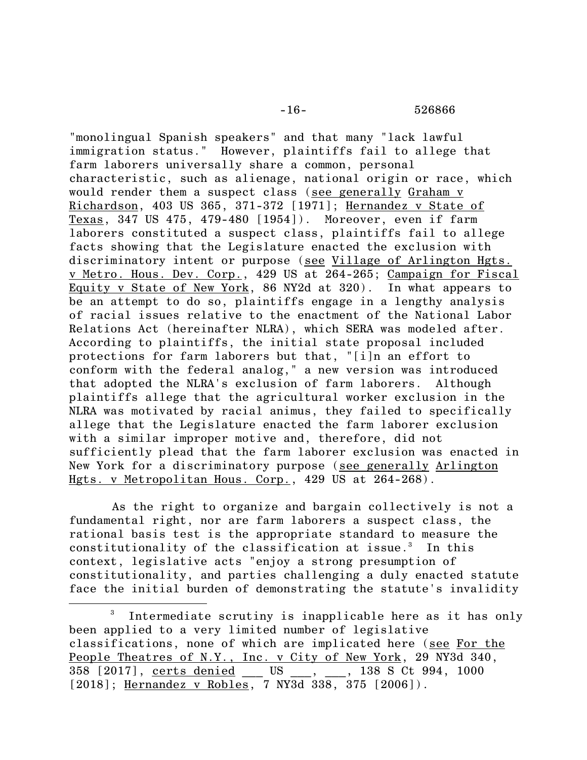"monolingual Spanish speakers" and that many "lack lawful immigration status." However, plaintiffs fail to allege that farm laborers universally share a common, personal characteristic, such as alienage, national origin or race, which would render them a suspect class (see generally Graham v Richardson, 403 US 365, 371-372 [1971]; Hernandez v State of Texas, 347 US 475, 479-480 [1954]). Moreover, even if farm laborers constituted a suspect class, plaintiffs fail to allege facts showing that the Legislature enacted the exclusion with discriminatory intent or purpose (see Village of Arlington Hgts. v Metro. Hous. Dev. Corp., 429 US at 264-265; Campaign for Fiscal Equity v State of New York, 86 NY2d at 320). In what appears to be an attempt to do so, plaintiffs engage in a lengthy analysis of racial issues relative to the enactment of the National Labor Relations Act (hereinafter NLRA), which SERA was modeled after. According to plaintiffs, the initial state proposal included protections for farm laborers but that, "[i]n an effort to conform with the federal analog," a new version was introduced that adopted the NLRA's exclusion of farm laborers. Although plaintiffs allege that the agricultural worker exclusion in the NLRA was motivated by racial animus, they failed to specifically allege that the Legislature enacted the farm laborer exclusion with a similar improper motive and, therefore, did not sufficiently plead that the farm laborer exclusion was enacted in New York for a discriminatory purpose (see generally Arlington Hgts. v Metropolitan Hous. Corp., 429 US at 264-268).

As the right to organize and bargain collectively is not a fundamental right, nor are farm laborers a suspect class, the rational basis test is the appropriate standard to measure the constitutionality of the classification at issue.<sup>3</sup> In this context, legislative acts "enjoy a strong presumption of constitutionality, and parties challenging a duly enacted statute face the initial burden of demonstrating the statute's invalidity

 $\overline{\phantom{a}}$ 

<sup>3</sup> Intermediate scrutiny is inapplicable here as it has only been applied to a very limited number of legislative classifications, none of which are implicated here (see For the People Theatres of N.Y., Inc. v City of New York, 29 NY3d 340, 358 [2017], certs denied US, 338 S Ct 994, 1000  $[2018]$ ; Hernandez v Robles, 7 NY3d 338, 375  $[2006]$ ).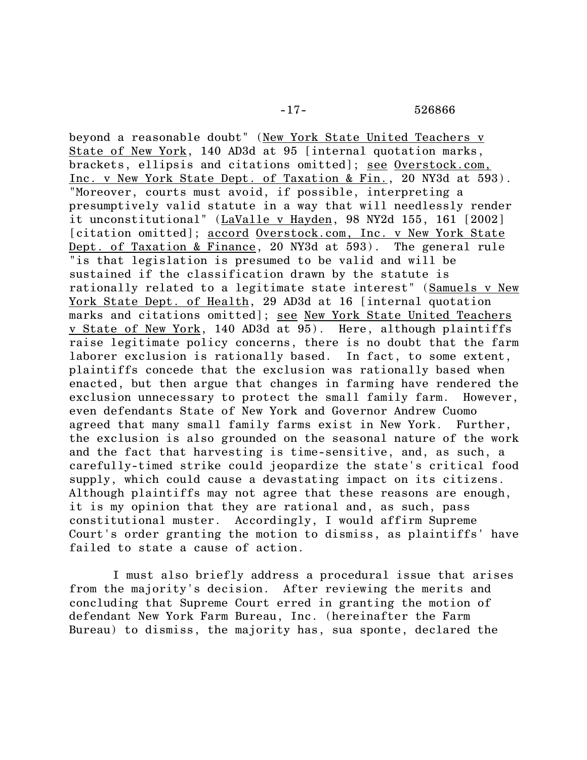beyond a reasonable doubt" (New York State United Teachers v State of New York, 140 AD3d at 95 [internal quotation marks, brackets, ellipsis and citations omitted]; see Overstock.com, Inc. v New York State Dept. of Taxation & Fin., 20 NY3d at 593). "Moreover, courts must avoid, if possible, interpreting a presumptively valid statute in a way that will needlessly render it unconstitutional" (LaValle v Hayden, 98 NY2d 155, 161 [2002] [citation omitted]; accord Overstock.com, Inc. v New York State Dept. of Taxation & Finance, 20 NY3d at 593). The general rule "is that legislation is presumed to be valid and will be sustained if the classification drawn by the statute is rationally related to a legitimate state interest" (Samuels v New York State Dept. of Health, 29 AD3d at 16 [internal quotation marks and citations omitted]; see New York State United Teachers v State of New York, 140 AD3d at 95). Here, although plaintiffs raise legitimate policy concerns, there is no doubt that the farm laborer exclusion is rationally based. In fact, to some extent, plaintiffs concede that the exclusion was rationally based when enacted, but then argue that changes in farming have rendered the exclusion unnecessary to protect the small family farm. However, even defendants State of New York and Governor Andrew Cuomo agreed that many small family farms exist in New York. Further, the exclusion is also grounded on the seasonal nature of the work and the fact that harvesting is time-sensitive, and, as such, a carefully-timed strike could jeopardize the state's critical food supply, which could cause a devastating impact on its citizens. Although plaintiffs may not agree that these reasons are enough, it is my opinion that they are rational and, as such, pass constitutional muster. Accordingly, I would affirm Supreme Court's order granting the motion to dismiss, as plaintiffs' have failed to state a cause of action.

I must also briefly address a procedural issue that arises from the majority's decision. After reviewing the merits and concluding that Supreme Court erred in granting the motion of defendant New York Farm Bureau, Inc. (hereinafter the Farm Bureau) to dismiss, the majority has, sua sponte, declared the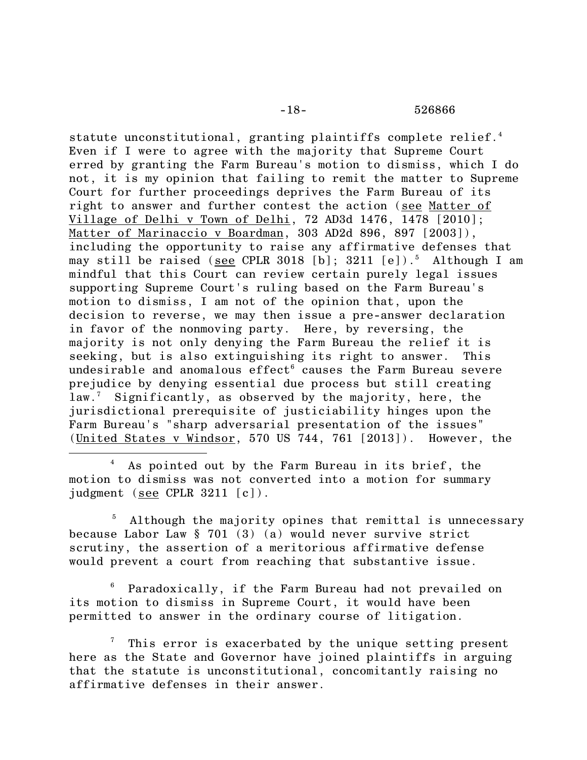statute unconstitutional, granting plaintiffs complete relief.<sup>4</sup> Even if I were to agree with the majority that Supreme Court erred by granting the Farm Bureau's motion to dismiss, which I do not, it is my opinion that failing to remit the matter to Supreme Court for further proceedings deprives the Farm Bureau of its right to answer and further contest the action (see Matter of Village of Delhi v Town of Delhi, 72 AD3d 1476, 1478 [2010]; Matter of Marinaccio v Boardman, 303 AD2d 896, 897 [2003]), including the opportunity to raise any affirmative defenses that may still be raised (see CPLR 3018 [b]; 3211 [e]).<sup>5</sup> Although I am mindful that this Court can review certain purely legal issues supporting Supreme Court's ruling based on the Farm Bureau's motion to dismiss, I am not of the opinion that, upon the decision to reverse, we may then issue a pre-answer declaration in favor of the nonmoving party. Here, by reversing, the majority is not only denying the Farm Bureau the relief it is seeking, but is also extinguishing its right to answer. This undesirable and anomalous  $effect^6$  causes the Farm Bureau severe prejudice by denying essential due process but still creating law.<sup>7</sup> Significantly, as observed by the majority, here, the jurisdictional prerequisite of justiciability hinges upon the Farm Bureau's "sharp adversarial presentation of the issues" (United States v Windsor, 570 US 744, 761 [2013]). However, the

<sup>4</sup> As pointed out by the Farm Bureau in its brief, the motion to dismiss was not converted into a motion for summary judgment (see CPLR 3211 [c]).

 $\overline{a}$ 

Although the majority opines that remittal is unnecessary because Labor Law § 701 (3) (a) would never survive strict scrutiny, the assertion of a meritorious affirmative defense would prevent a court from reaching that substantive issue.

<sup>6</sup> Paradoxically, if the Farm Bureau had not prevailed on its motion to dismiss in Supreme Court, it would have been permitted to answer in the ordinary course of litigation.

This error is exacerbated by the unique setting present here as the State and Governor have joined plaintiffs in arguing that the statute is unconstitutional, concomitantly raising no affirmative defenses in their answer.